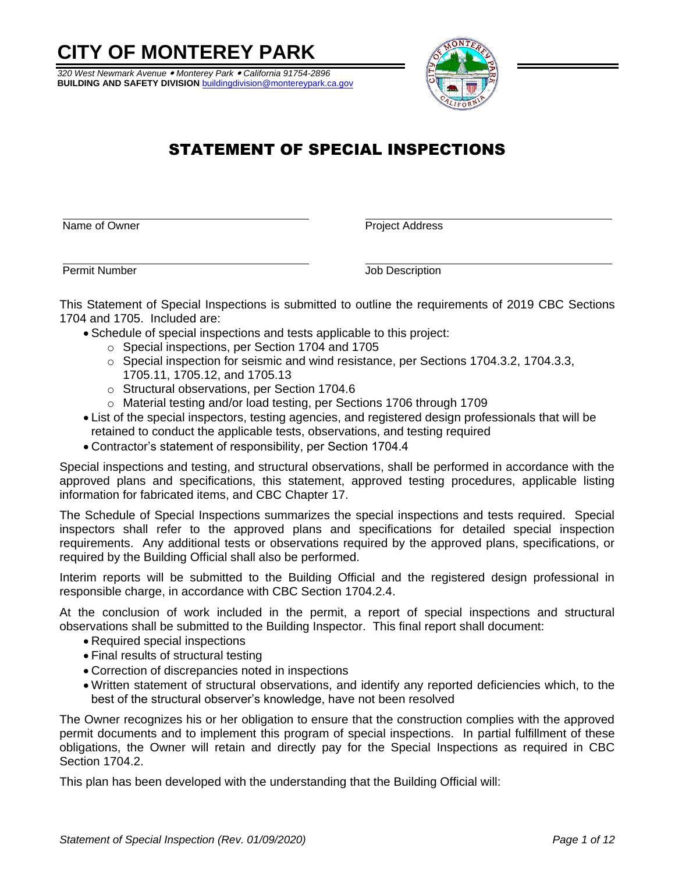# **CITY OF MONTEREY PARK**

*320 West Newmark Avenue Monterey Park California 91754-2896* **BUILDING AND SAFETY DIVISION** buildingdivision@montereypark.ca.gov



# STATEMENT OF SPECIAL INSPECTIONS

Name of Owner **Project Address** 

**Permit Number Contract Contract Contract Contract Contract Contract Contract Contract Contract Contract Contract Contract Contract Contract Contract Contract Contract Contract Contract Contract Contract Contract Contract** 

This Statement of Special Inspections is submitted to outline the requirements of 2019 CBC Sections 1704 and 1705. Included are:

- Schedule of special inspections and tests applicable to this project:
	- o Special inspections, per Section 1704 and 1705
	- $\circ$  Special inspection for seismic and wind resistance, per Sections 1704.3.2, 1704.3.3, 1705.11, 1705.12, and 1705.13
	- o Structural observations, per Section 1704.6
	- o Material testing and/or load testing, per Sections 1706 through 1709
- List of the special inspectors, testing agencies, and registered design professionals that will be retained to conduct the applicable tests, observations, and testing required
- Contractor's statement of responsibility, per Section 1704.4

Special inspections and testing, and structural observations, shall be performed in accordance with the approved plans and specifications, this statement, approved testing procedures, applicable listing information for fabricated items, and CBC Chapter 17.

The Schedule of Special Inspections summarizes the special inspections and tests required. Special inspectors shall refer to the approved plans and specifications for detailed special inspection requirements. Any additional tests or observations required by the approved plans, specifications, or required by the Building Official shall also be performed.

Interim reports will be submitted to the Building Official and the registered design professional in responsible charge, in accordance with CBC Section 1704.2.4.

At the conclusion of work included in the permit, a report of special inspections and structural observations shall be submitted to the Building Inspector. This final report shall document:

- Required special inspections
- Final results of structural testing
- Correction of discrepancies noted in inspections
- Written statement of structural observations, and identify any reported deficiencies which, to the best of the structural observer's knowledge, have not been resolved

The Owner recognizes his or her obligation to ensure that the construction complies with the approved permit documents and to implement this program of special inspections. In partial fulfillment of these obligations, the Owner will retain and directly pay for the Special Inspections as required in CBC Section 1704.2.

This plan has been developed with the understanding that the Building Official will: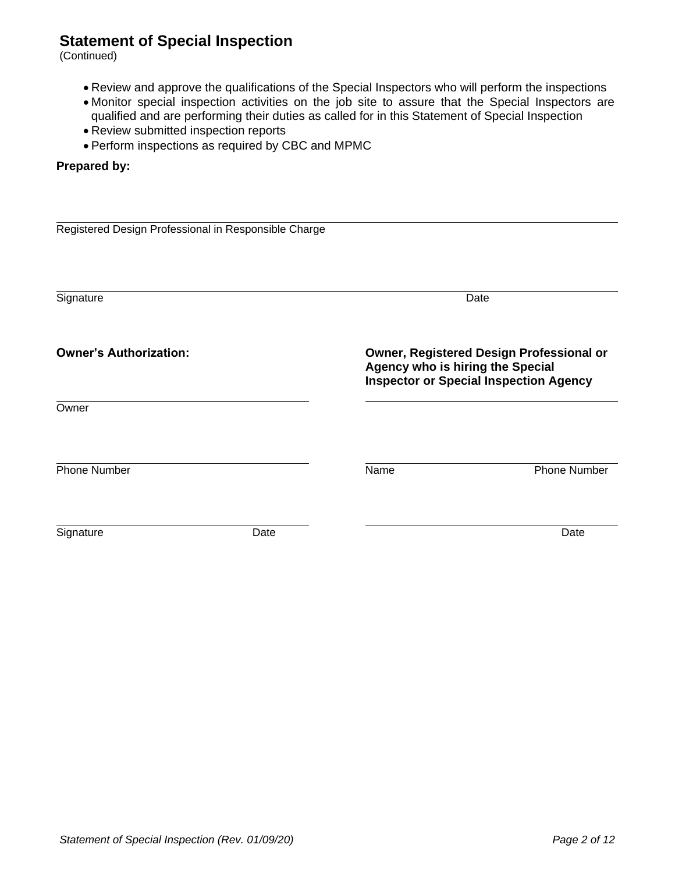(Continued)

- Review and approve the qualifications of the Special Inspectors who will perform the inspections
- Monitor special inspection activities on the job site to assure that the Special Inspectors are qualified and are performing their duties as called for in this Statement of Special Inspection
- Review submitted inspection reports
- Perform inspections as required by CBC and MPMC

#### **Prepared by:**

| Registered Design Professional in Responsible Charge |      |                                  |                                                                                           |
|------------------------------------------------------|------|----------------------------------|-------------------------------------------------------------------------------------------|
|                                                      |      |                                  |                                                                                           |
|                                                      |      |                                  |                                                                                           |
|                                                      |      |                                  |                                                                                           |
| Signature                                            |      |                                  | Date                                                                                      |
|                                                      |      |                                  |                                                                                           |
| <b>Owner's Authorization:</b>                        |      | Agency who is hiring the Special | Owner, Registered Design Professional or<br><b>Inspector or Special Inspection Agency</b> |
| Owner                                                |      |                                  |                                                                                           |
|                                                      |      |                                  |                                                                                           |
| <b>Phone Number</b>                                  |      | Name                             | <b>Phone Number</b>                                                                       |
|                                                      |      |                                  |                                                                                           |
| Signature                                            | Date |                                  | Date                                                                                      |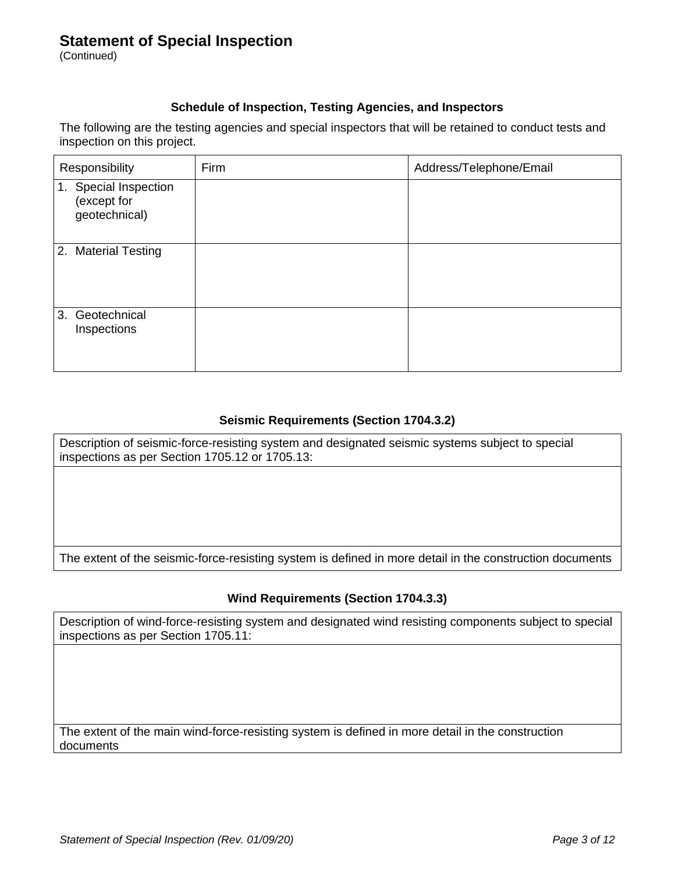(Continued)

#### **Schedule of Inspection, Testing Agencies, and Inspectors**

The following are the testing agencies and special inspectors that will be retained to conduct tests and inspection on this project.

| Responsibility                                           | Firm | Address/Telephone/Email |
|----------------------------------------------------------|------|-------------------------|
| Special Inspection<br>1.<br>(except for<br>geotechnical) |      |                         |
| 2. Material Testing                                      |      |                         |
| Geotechnical<br>3.<br>Inspections                        |      |                         |

#### **Seismic Requirements (Section 1704.3.2)**

Description of seismic-force-resisting system and designated seismic systems subject to special inspections as per Section 1705.12 or 1705.13:

The extent of the seismic-force-resisting system is defined in more detail in the construction documents

#### **Wind Requirements (Section 1704.3.3)**

Description of wind-force-resisting system and designated wind resisting components subject to special inspections as per Section 1705.11:

The extent of the main wind-force-resisting system is defined in more detail in the construction documents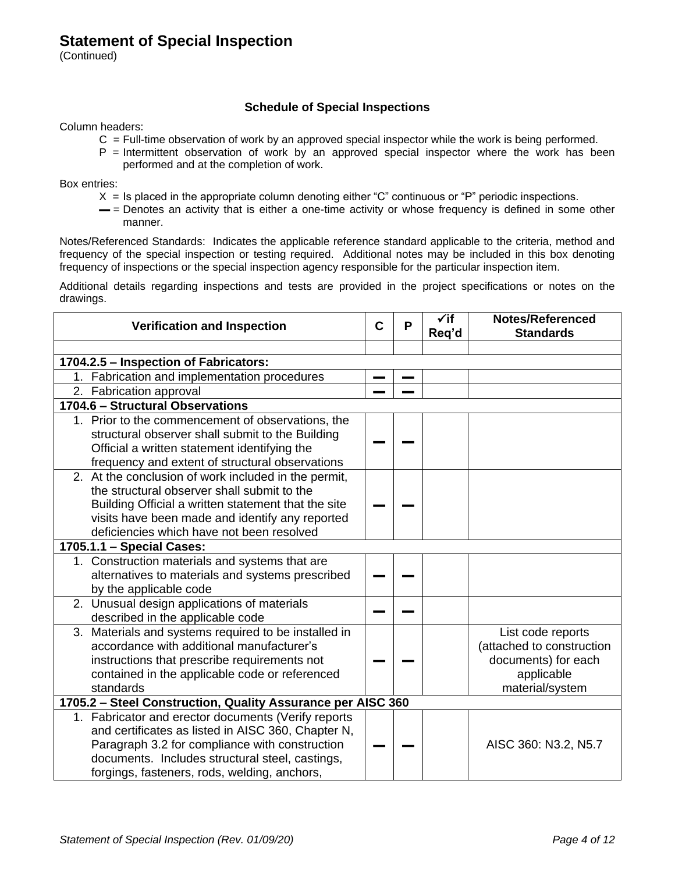(Continued)

#### **Schedule of Special Inspections**

Column headers:

- $C =$  Full-time observation of work by an approved special inspector while the work is being performed.
- $P =$  Intermittent observation of work by an approved special inspector where the work has been performed and at the completion of work.

Box entries:

- $X =$  Is placed in the appropriate column denoting either "C" continuous or "P" periodic inspections.
- $=$  = Denotes an activity that is either a one-time activity or whose frequency is defined in some other manner.

Notes/Referenced Standards: Indicates the applicable reference standard applicable to the criteria, method and frequency of the special inspection or testing required. Additional notes may be included in this box denoting frequency of inspections or the special inspection agency responsible for the particular inspection item.

Additional details regarding inspections and tests are provided in the project specifications or notes on the drawings.

| <b>Verification and Inspection</b>                                                                                                                                                                                                                             | $\mathbf C$ | P | $\checkmark$ if<br>Req'd | <b>Notes/Referenced</b><br><b>Standards</b>                                                            |
|----------------------------------------------------------------------------------------------------------------------------------------------------------------------------------------------------------------------------------------------------------------|-------------|---|--------------------------|--------------------------------------------------------------------------------------------------------|
|                                                                                                                                                                                                                                                                |             |   |                          |                                                                                                        |
| 1704.2.5 - Inspection of Fabricators:                                                                                                                                                                                                                          |             |   |                          |                                                                                                        |
| 1. Fabrication and implementation procedures                                                                                                                                                                                                                   |             |   |                          |                                                                                                        |
| 2. Fabrication approval                                                                                                                                                                                                                                        |             |   |                          |                                                                                                        |
| 1704.6 - Structural Observations                                                                                                                                                                                                                               |             |   |                          |                                                                                                        |
| 1. Prior to the commencement of observations, the<br>structural observer shall submit to the Building<br>Official a written statement identifying the<br>frequency and extent of structural observations                                                       |             |   |                          |                                                                                                        |
| 2. At the conclusion of work included in the permit,<br>the structural observer shall submit to the<br>Building Official a written statement that the site<br>visits have been made and identify any reported<br>deficiencies which have not been resolved     |             |   |                          |                                                                                                        |
| 1705.1.1 - Special Cases:                                                                                                                                                                                                                                      |             |   |                          |                                                                                                        |
| 1. Construction materials and systems that are<br>alternatives to materials and systems prescribed<br>by the applicable code                                                                                                                                   |             |   |                          |                                                                                                        |
| 2. Unusual design applications of materials<br>described in the applicable code                                                                                                                                                                                |             |   |                          |                                                                                                        |
| 3. Materials and systems required to be installed in<br>accordance with additional manufacturer's<br>instructions that prescribe requirements not<br>contained in the applicable code or referenced<br>standards                                               |             |   |                          | List code reports<br>(attached to construction<br>documents) for each<br>applicable<br>material/system |
| 1705.2 - Steel Construction, Quality Assurance per AISC 360                                                                                                                                                                                                    |             |   |                          |                                                                                                        |
| 1. Fabricator and erector documents (Verify reports<br>and certificates as listed in AISC 360, Chapter N,<br>Paragraph 3.2 for compliance with construction<br>documents. Includes structural steel, castings,<br>forgings, fasteners, rods, welding, anchors, |             |   |                          | AISC 360: N3.2, N5.7                                                                                   |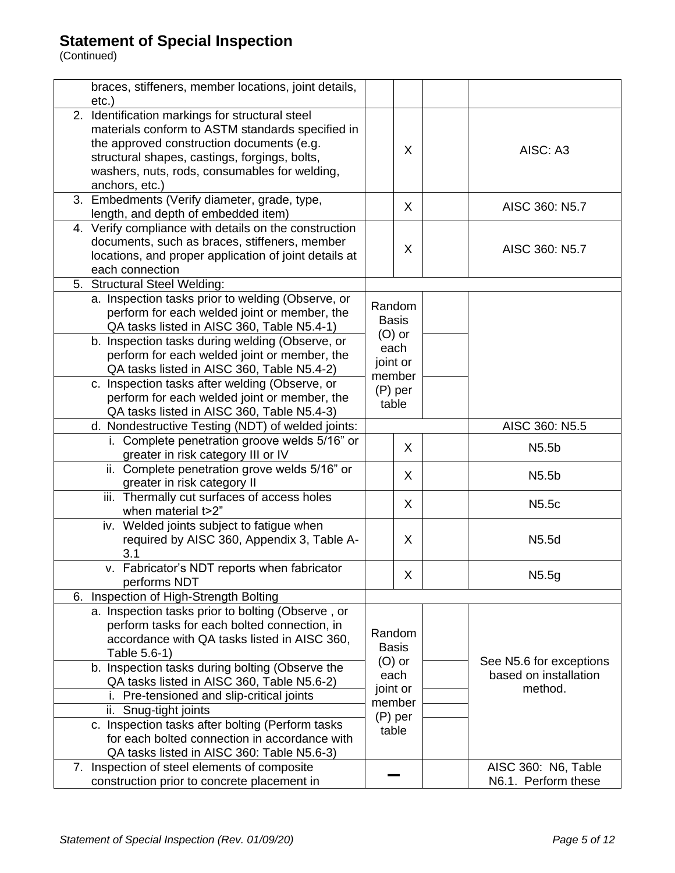| braces, stiffeners, member locations, joint details,  |              |   |                         |
|-------------------------------------------------------|--------------|---|-------------------------|
| $etc.$ )                                              |              |   |                         |
| 2. Identification markings for structural steel       |              |   |                         |
| materials conform to ASTM standards specified in      |              |   |                         |
| the approved construction documents (e.g.             |              |   |                         |
| structural shapes, castings, forgings, bolts,         |              | X | AISC: A3                |
| washers, nuts, rods, consumables for welding,         |              |   |                         |
| anchors, etc.)                                        |              |   |                         |
| 3. Embedments (Verify diameter, grade, type,          |              |   |                         |
| length, and depth of embedded item)                   |              | X | AISC 360: N5.7          |
| 4. Verify compliance with details on the construction |              |   |                         |
| documents, such as braces, stiffeners, member         |              |   |                         |
| locations, and proper application of joint details at |              | X | AISC 360: N5.7          |
| each connection                                       |              |   |                         |
| 5. Structural Steel Welding:                          |              |   |                         |
| a. Inspection tasks prior to welding (Observe, or     |              |   |                         |
| perform for each welded joint or member, the          | Random       |   |                         |
| QA tasks listed in AISC 360, Table N5.4-1)            | <b>Basis</b> |   |                         |
| b. Inspection tasks during welding (Observe, or       | $(O)$ or     |   |                         |
| perform for each welded joint or member, the          | each         |   |                         |
| QA tasks listed in AISC 360, Table N5.4-2)            | joint or     |   |                         |
| c. Inspection tasks after welding (Observe, or        | member       |   |                         |
| perform for each welded joint or member, the          | (P) per      |   |                         |
| QA tasks listed in AISC 360, Table N5.4-3)            | table        |   |                         |
| d. Nondestructive Testing (NDT) of welded joints:     |              |   | AISC 360: N5.5          |
| i. Complete penetration groove welds 5/16" or         |              |   |                         |
| greater in risk category III or IV                    |              | X | N <sub>5.5</sub> b      |
| ii. Complete penetration grove welds 5/16" or         |              |   |                         |
| greater in risk category II                           |              | X | N <sub>5.5</sub> b      |
| iii. Thermally cut surfaces of access holes           |              |   |                         |
| when material t>2"                                    |              | X | N <sub>5.5</sub> c      |
| iv. Welded joints subject to fatigue when             |              |   |                         |
| required by AISC 360, Appendix 3, Table A-            |              | X | N5.5d                   |
| 3.1                                                   |              |   |                         |
| v. Fabricator's NDT reports when fabricator           |              |   |                         |
| performs NDT                                          |              | X | N5.5g                   |
| 6. Inspection of High-Strength Bolting                |              |   |                         |
| a. Inspection tasks prior to bolting (Observe, or     |              |   |                         |
| perform tasks for each bolted connection, in          |              |   |                         |
| accordance with QA tasks listed in AISC 360,          | Random       |   |                         |
| Table 5.6-1)                                          | <b>Basis</b> |   |                         |
| b. Inspection tasks during bolting (Observe the       | $(O)$ or     |   | See N5.6 for exceptions |
| QA tasks listed in AISC 360, Table N5.6-2)            | each         |   | based on installation   |
| i. Pre-tensioned and slip-critical joints             | joint or     |   | method.                 |
| ii. Snug-tight joints                                 | member       |   |                         |
| c. Inspection tasks after bolting (Perform tasks      | $(P)$ per    |   |                         |
| for each bolted connection in accordance with         | table        |   |                         |
| QA tasks listed in AISC 360: Table N5.6-3)            |              |   |                         |
| 7. Inspection of steel elements of composite          |              |   | AISC 360: N6, Table     |
| construction prior to concrete placement in           |              |   | N6.1. Perform these     |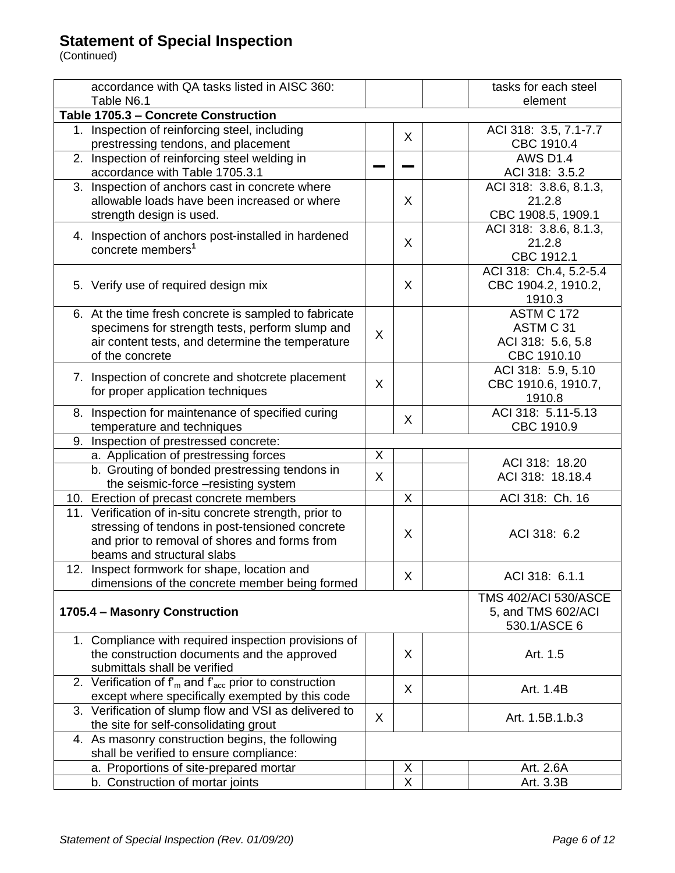| accordance with QA tasks listed in AISC 360:                 |   |              | tasks for each steel        |
|--------------------------------------------------------------|---|--------------|-----------------------------|
| Table N6.1                                                   |   |              | element                     |
| Table 1705.3 - Concrete Construction                         |   |              |                             |
| 1. Inspection of reinforcing steel, including                |   | $\mathsf{X}$ | ACI 318: 3.5, 7.1-7.7       |
| prestressing tendons, and placement                          |   |              | CBC 1910.4                  |
| 2. Inspection of reinforcing steel welding in                |   |              | <b>AWS D1.4</b>             |
| accordance with Table 1705.3.1                               |   |              | ACI 318: 3.5.2              |
| 3. Inspection of anchors cast in concrete where              |   |              | ACI 318: 3.8.6, 8.1.3,      |
| allowable loads have been increased or where                 |   | X            | 21.2.8                      |
| strength design is used.                                     |   |              | CBC 1908.5, 1909.1          |
|                                                              |   |              | ACI 318: 3.8.6, 8.1.3,      |
| 4. Inspection of anchors post-installed in hardened          |   | X            | 21.2.8                      |
| concrete members <sup>1</sup>                                |   |              | CBC 1912.1                  |
|                                                              |   |              | ACI 318: Ch.4, 5.2-5.4      |
| 5. Verify use of required design mix                         |   | X            | CBC 1904.2, 1910.2,         |
|                                                              |   |              | 1910.3                      |
| 6. At the time fresh concrete is sampled to fabricate        |   |              | ASTM C 172                  |
| specimens for strength tests, perform slump and              |   |              | ASTM C 31                   |
| air content tests, and determine the temperature             | X |              | ACI 318: 5.6, 5.8           |
| of the concrete                                              |   |              | CBC 1910.10                 |
|                                                              |   |              | ACI 318: 5.9, 5.10          |
| 7. Inspection of concrete and shotcrete placement            | X |              | CBC 1910.6, 1910.7,         |
| for proper application techniques                            |   |              | 1910.8                      |
| 8. Inspection for maintenance of specified curing            |   |              | ACI 318: 5.11-5.13          |
| temperature and techniques                                   |   | X            | CBC 1910.9                  |
| 9. Inspection of prestressed concrete:                       |   |              |                             |
| a. Application of prestressing forces                        | X |              |                             |
| b. Grouting of bonded prestressing tendons in                |   |              | ACI 318: 18.20              |
|                                                              | X |              | ACI 318: 18.18.4            |
| the seismic-force -resisting system                          |   |              |                             |
| 10. Erection of precast concrete members                     |   | X            | ACI 318: Ch. 16             |
| 11. Verification of in-situ concrete strength, prior to      |   |              |                             |
| stressing of tendons in post-tensioned concrete              |   | X            | ACI 318: 6.2                |
| and prior to removal of shores and forms from                |   |              |                             |
| beams and structural slabs                                   |   |              |                             |
| Inspect formwork for shape, location and<br>12.              |   | X            | ACI 318: 6.1.1              |
| dimensions of the concrete member being formed               |   |              |                             |
|                                                              |   |              | <b>TMS 402/ACI 530/ASCE</b> |
| 1705.4 - Masonry Construction                                |   |              | 5, and TMS 602/ACI          |
|                                                              |   |              | 530.1/ASCE 6                |
| 1. Compliance with required inspection provisions of         |   |              |                             |
| the construction documents and the approved                  |   | X            | Art. 1.5                    |
| submittals shall be verified                                 |   |              |                             |
| 2. Verification of $f_m$ and $f_{acc}$ prior to construction |   | X            | Art. 1.4B                   |
| except where specifically exempted by this code              |   |              |                             |
| 3. Verification of slump flow and VSI as delivered to        | X |              | Art. 1.5B.1.b.3             |
| the site for self-consolidating grout                        |   |              |                             |
| 4. As masonry construction begins, the following             |   |              |                             |
| shall be verified to ensure compliance:                      |   |              |                             |
| a. Proportions of site-prepared mortar                       |   | X            | Art. 2.6A                   |
| b. Construction of mortar joints                             |   | X            | Art. 3.3B                   |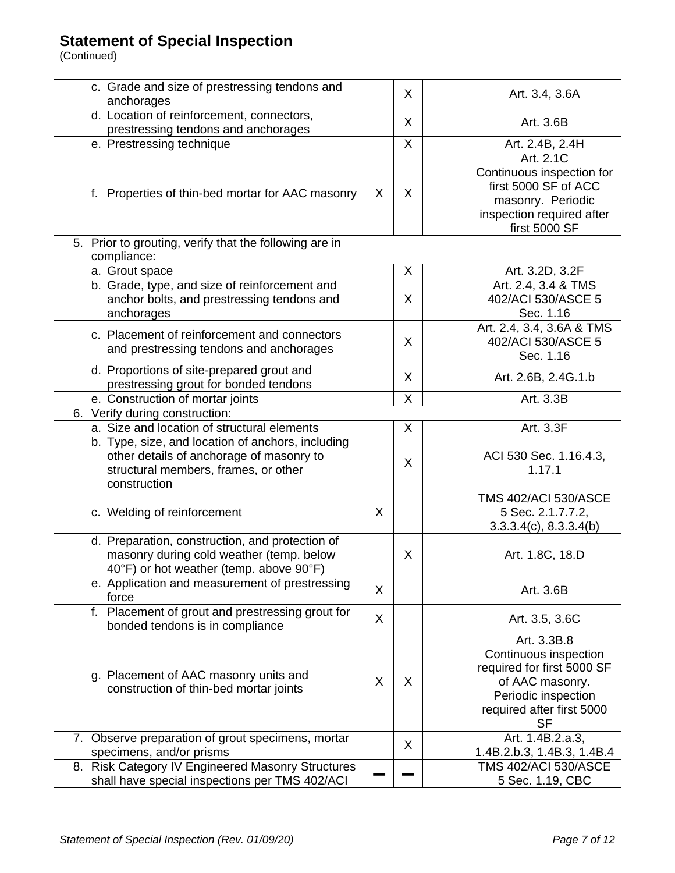| c. Grade and size of prestressing tendons and<br>anchorages                                                                                           |   | $\sf X$ | Art. 3.4, 3.6A                                                                                                                                         |
|-------------------------------------------------------------------------------------------------------------------------------------------------------|---|---------|--------------------------------------------------------------------------------------------------------------------------------------------------------|
| d. Location of reinforcement, connectors,                                                                                                             |   |         |                                                                                                                                                        |
| prestressing tendons and anchorages                                                                                                                   |   | $\sf X$ | Art. 3.6B                                                                                                                                              |
| e. Prestressing technique                                                                                                                             |   | X       | Art. 2.4B, 2.4H                                                                                                                                        |
|                                                                                                                                                       |   |         | Art. 2.1C                                                                                                                                              |
| f. Properties of thin-bed mortar for AAC masonry                                                                                                      | X | X       | Continuous inspection for<br>first 5000 SF of ACC<br>masonry. Periodic<br>inspection required after<br>first 5000 SF                                   |
| 5. Prior to grouting, verify that the following are in<br>compliance:                                                                                 |   |         |                                                                                                                                                        |
| a. Grout space                                                                                                                                        |   | X       | Art. 3.2D, 3.2F                                                                                                                                        |
| b. Grade, type, and size of reinforcement and                                                                                                         |   |         | Art. 2.4, 3.4 & TMS                                                                                                                                    |
| anchor bolts, and prestressing tendons and<br>anchorages                                                                                              |   | X       | 402/ACI 530/ASCE 5<br>Sec. 1.16                                                                                                                        |
| c. Placement of reinforcement and connectors<br>and prestressing tendons and anchorages                                                               |   | X       | Art. 2.4, 3.4, 3.6A & TMS<br>402/ACI 530/ASCE 5<br>Sec. 1.16                                                                                           |
| d. Proportions of site-prepared grout and<br>prestressing grout for bonded tendons                                                                    |   | $\sf X$ | Art. 2.6B, 2.4G.1.b                                                                                                                                    |
| e. Construction of mortar joints                                                                                                                      |   | X       | Art. 3.3B                                                                                                                                              |
| 6. Verify during construction:                                                                                                                        |   |         |                                                                                                                                                        |
| a. Size and location of structural elements                                                                                                           |   | X       | Art. 3.3F                                                                                                                                              |
| b. Type, size, and location of anchors, including<br>other details of anchorage of masonry to<br>structural members, frames, or other<br>construction |   | X       | ACI 530 Sec. 1.16.4.3,<br>1.17.1                                                                                                                       |
| c. Welding of reinforcement                                                                                                                           | X |         | <b>TMS 402/ACI 530/ASCE</b><br>5 Sec. 2.1.7.7.2,<br>$3.3.3.4(c)$ , $8.3.3.4(b)$                                                                        |
| d. Preparation, construction, and protection of<br>masonry during cold weather (temp. below<br>40°F) or hot weather (temp. above 90°F)                |   | X       | Art. 1.8C, 18.D                                                                                                                                        |
| e. Application and measurement of prestressing<br>force                                                                                               | X |         | Art. 3.6B                                                                                                                                              |
| f. Placement of grout and prestressing grout for<br>bonded tendons is in compliance                                                                   | X |         | Art. 3.5, 3.6C                                                                                                                                         |
| g. Placement of AAC masonry units and<br>construction of thin-bed mortar joints                                                                       | X | X       | Art. 3.3B.8<br>Continuous inspection<br>required for first 5000 SF<br>of AAC masonry.<br>Periodic inspection<br>required after first 5000<br><b>SF</b> |
| 7. Observe preparation of grout specimens, mortar<br>specimens, and/or prisms                                                                         |   | X       | Art. 1.4B.2.a.3,<br>1.4B.2.b.3, 1.4B.3, 1.4B.4                                                                                                         |
| 8. Risk Category IV Engineered Masonry Structures<br>shall have special inspections per TMS 402/ACI                                                   |   |         | <b>TMS 402/ACI 530/ASCE</b><br>5 Sec. 1.19, CBC                                                                                                        |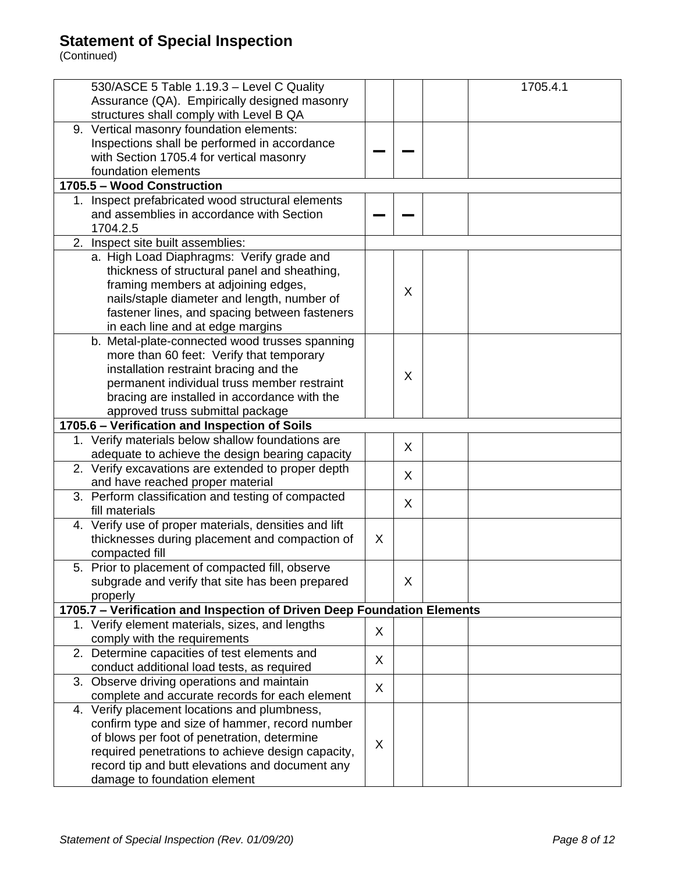| 530/ASCE 5 Table 1.19.3 - Level C Quality                               |   |        | 1705.4.1 |
|-------------------------------------------------------------------------|---|--------|----------|
| Assurance (QA). Empirically designed masonry                            |   |        |          |
| structures shall comply with Level B QA                                 |   |        |          |
| 9. Vertical masonry foundation elements:                                |   |        |          |
| Inspections shall be performed in accordance                            |   |        |          |
| with Section 1705.4 for vertical masonry                                |   |        |          |
| foundation elements                                                     |   |        |          |
| 1705.5 - Wood Construction                                              |   |        |          |
| 1. Inspect prefabricated wood structural elements                       |   |        |          |
| and assemblies in accordance with Section                               |   |        |          |
|                                                                         |   |        |          |
| 1704.2.5                                                                |   |        |          |
| 2. Inspect site built assemblies:                                       |   |        |          |
| a. High Load Diaphragms: Verify grade and                               |   |        |          |
| thickness of structural panel and sheathing,                            |   |        |          |
| framing members at adjoining edges,                                     |   | X      |          |
| nails/staple diameter and length, number of                             |   |        |          |
| fastener lines, and spacing between fasteners                           |   |        |          |
| in each line and at edge margins                                        |   |        |          |
| b. Metal-plate-connected wood trusses spanning                          |   |        |          |
| more than 60 feet: Verify that temporary                                |   |        |          |
| installation restraint bracing and the                                  |   |        |          |
| permanent individual truss member restraint                             |   | X      |          |
| bracing are installed in accordance with the                            |   |        |          |
| approved truss submittal package                                        |   |        |          |
|                                                                         |   |        |          |
| 1705.6 - Verification and Inspection of Soils                           |   |        |          |
| 1. Verify materials below shallow foundations are                       |   | X      |          |
| adequate to achieve the design bearing capacity                         |   |        |          |
| 2. Verify excavations are extended to proper depth                      |   | $\chi$ |          |
| and have reached proper material                                        |   |        |          |
| 3. Perform classification and testing of compacted                      |   | X      |          |
| fill materials                                                          |   |        |          |
| 4. Verify use of proper materials, densities and lift                   |   |        |          |
| thicknesses during placement and compaction of                          | X |        |          |
| compacted fill                                                          |   |        |          |
| 5. Prior to placement of compacted fill, observe                        |   |        |          |
| subgrade and verify that site has been prepared                         |   | X      |          |
| properly                                                                |   |        |          |
| 1705.7 - Verification and Inspection of Driven Deep Foundation Elements |   |        |          |
| 1. Verify element materials, sizes, and lengths                         |   |        |          |
| comply with the requirements                                            | X |        |          |
| 2. Determine capacities of test elements and                            |   |        |          |
|                                                                         | X |        |          |
| conduct additional load tests, as required                              |   |        |          |
| 3. Observe driving operations and maintain                              | X |        |          |
| complete and accurate records for each element                          |   |        |          |
| 4. Verify placement locations and plumbness,                            |   |        |          |
| confirm type and size of hammer, record number                          |   |        |          |
| of blows per foot of penetration, determine                             | X |        |          |
| required penetrations to achieve design capacity,                       |   |        |          |
| record tip and butt elevations and document any                         |   |        |          |
| damage to foundation element                                            |   |        |          |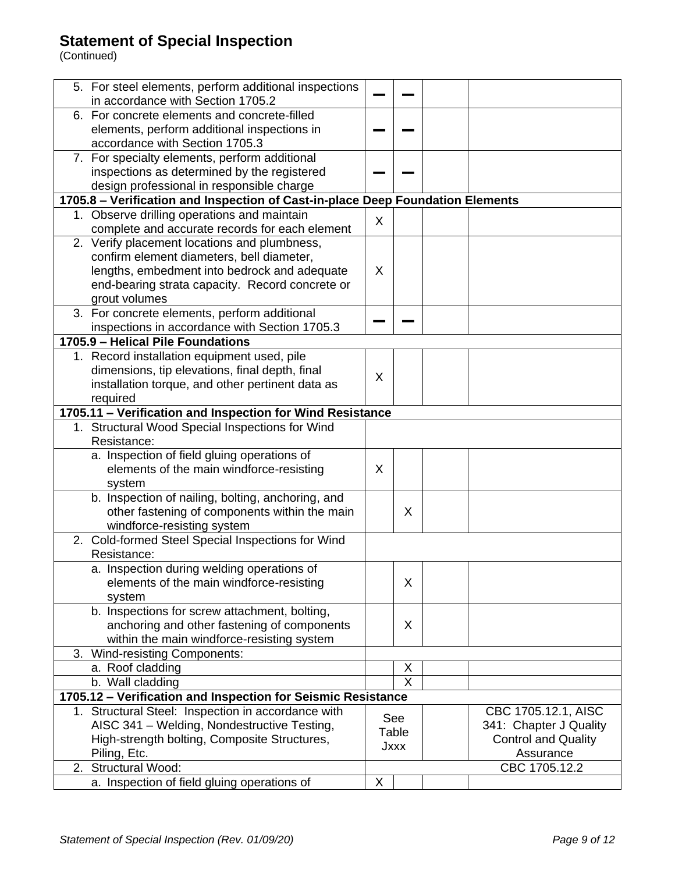| 5. For steel elements, perform additional inspections<br>in accordance with Section 1705.2 |      |                |                            |
|--------------------------------------------------------------------------------------------|------|----------------|----------------------------|
|                                                                                            |      |                |                            |
| 6. For concrete elements and concrete-filled                                               |      |                |                            |
| elements, perform additional inspections in                                                |      |                |                            |
| accordance with Section 1705.3                                                             |      |                |                            |
| 7. For specialty elements, perform additional                                              |      |                |                            |
| inspections as determined by the registered                                                |      |                |                            |
| design professional in responsible charge                                                  |      |                |                            |
| 1705.8 - Verification and Inspection of Cast-in-place Deep Foundation Elements             |      |                |                            |
| 1. Observe drilling operations and maintain                                                | X    |                |                            |
| complete and accurate records for each element                                             |      |                |                            |
| 2. Verify placement locations and plumbness,                                               |      |                |                            |
| confirm element diameters, bell diameter,                                                  |      |                |                            |
| lengths, embedment into bedrock and adequate                                               | X    |                |                            |
| end-bearing strata capacity. Record concrete or                                            |      |                |                            |
| grout volumes                                                                              |      |                |                            |
| 3. For concrete elements, perform additional                                               |      |                |                            |
| inspections in accordance with Section 1705.3                                              |      |                |                            |
| 1705.9 - Helical Pile Foundations                                                          |      |                |                            |
| 1. Record installation equipment used, pile                                                |      |                |                            |
| dimensions, tip elevations, final depth, final                                             | X    |                |                            |
| installation torque, and other pertinent data as                                           |      |                |                            |
| required                                                                                   |      |                |                            |
| 1705.11 - Verification and Inspection for Wind Resistance                                  |      |                |                            |
| 1. Structural Wood Special Inspections for Wind                                            |      |                |                            |
| Resistance:                                                                                |      |                |                            |
| a. Inspection of field gluing operations of                                                |      |                |                            |
| elements of the main windforce-resisting                                                   | X    |                |                            |
| system                                                                                     |      |                |                            |
| b. Inspection of nailing, bolting, anchoring, and                                          |      |                |                            |
| other fastening of components within the main                                              |      | X              |                            |
| windforce-resisting system                                                                 |      |                |                            |
| 2. Cold-formed Steel Special Inspections for Wind                                          |      |                |                            |
| Resistance:                                                                                |      |                |                            |
| a. Inspection during welding operations of                                                 |      |                |                            |
| elements of the main windforce-resisting                                                   |      | X              |                            |
| system                                                                                     |      |                |                            |
| b. Inspections for screw attachment, bolting,                                              |      |                |                            |
| anchoring and other fastening of components                                                |      | X              |                            |
| within the main windforce-resisting system                                                 |      |                |                            |
| 3. Wind-resisting Components:                                                              |      |                |                            |
| a. Roof cladding                                                                           |      | X              |                            |
| b. Wall cladding                                                                           |      | $\overline{X}$ |                            |
| 1705.12 - Verification and Inspection for Seismic Resistance                               |      |                |                            |
| 1. Structural Steel: Inspection in accordance with                                         |      | See            | CBC 1705.12.1, AISC        |
| AISC 341 - Welding, Nondestructive Testing,                                                |      | Table          | 341: Chapter J Quality     |
| High-strength bolting, Composite Structures,                                               |      |                | <b>Control and Quality</b> |
| Piling, Etc.                                                                               | Jxxx |                | Assurance                  |
| 2. Structural Wood:                                                                        |      |                | CBC 1705.12.2              |
| a. Inspection of field gluing operations of                                                | X    |                |                            |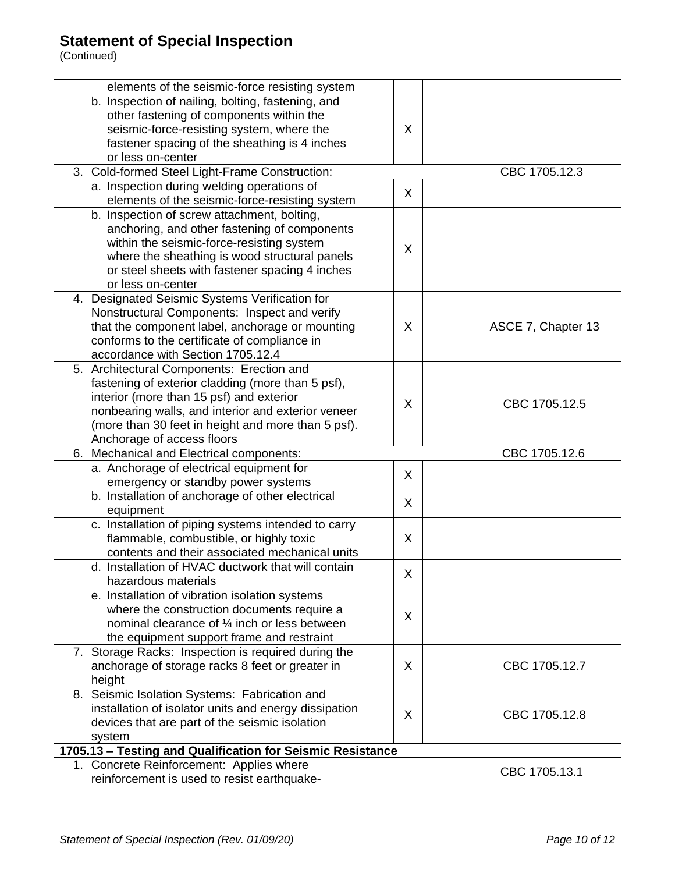| elements of the seismic-force resisting system             |   |                    |  |  |  |
|------------------------------------------------------------|---|--------------------|--|--|--|
| b. Inspection of nailing, bolting, fastening, and          |   |                    |  |  |  |
| other fastening of components within the                   |   |                    |  |  |  |
| seismic-force-resisting system, where the                  | X |                    |  |  |  |
| fastener spacing of the sheathing is 4 inches              |   |                    |  |  |  |
| or less on-center                                          |   |                    |  |  |  |
| 3. Cold-formed Steel Light-Frame Construction:             |   | CBC 1705.12.3      |  |  |  |
| a. Inspection during welding operations of                 |   |                    |  |  |  |
| elements of the seismic-force-resisting system             | X |                    |  |  |  |
| b. Inspection of screw attachment, bolting,                |   |                    |  |  |  |
| anchoring, and other fastening of components               |   |                    |  |  |  |
| within the seismic-force-resisting system                  |   |                    |  |  |  |
| where the sheathing is wood structural panels              | X |                    |  |  |  |
| or steel sheets with fastener spacing 4 inches             |   |                    |  |  |  |
| or less on-center                                          |   |                    |  |  |  |
| 4. Designated Seismic Systems Verification for             |   |                    |  |  |  |
| Nonstructural Components: Inspect and verify               |   |                    |  |  |  |
| that the component label, anchorage or mounting            | X |                    |  |  |  |
|                                                            |   | ASCE 7, Chapter 13 |  |  |  |
| conforms to the certificate of compliance in               |   |                    |  |  |  |
| accordance with Section 1705.12.4                          |   |                    |  |  |  |
| 5. Architectural Components: Erection and                  |   |                    |  |  |  |
| fastening of exterior cladding (more than 5 psf),          |   |                    |  |  |  |
| interior (more than 15 psf) and exterior                   | X | CBC 1705.12.5      |  |  |  |
| nonbearing walls, and interior and exterior veneer         |   |                    |  |  |  |
| (more than 30 feet in height and more than 5 psf).         |   |                    |  |  |  |
| Anchorage of access floors                                 |   |                    |  |  |  |
| 6. Mechanical and Electrical components:                   |   | CBC 1705.12.6      |  |  |  |
| a. Anchorage of electrical equipment for                   | X |                    |  |  |  |
| emergency or standby power systems                         |   |                    |  |  |  |
| b. Installation of anchorage of other electrical           | X |                    |  |  |  |
| equipment                                                  |   |                    |  |  |  |
| c. Installation of piping systems intended to carry        |   |                    |  |  |  |
| flammable, combustible, or highly toxic                    | X |                    |  |  |  |
| contents and their associated mechanical units             |   |                    |  |  |  |
| d. Installation of HVAC ductwork that will contain         |   |                    |  |  |  |
| hazardous materials                                        | X |                    |  |  |  |
| e. Installation of vibration isolation systems             |   |                    |  |  |  |
| where the construction documents require a                 |   |                    |  |  |  |
| nominal clearance of 1/4 inch or less between              | X |                    |  |  |  |
| the equipment support frame and restraint                  |   |                    |  |  |  |
| 7. Storage Racks: Inspection is required during the        |   |                    |  |  |  |
| anchorage of storage racks 8 feet or greater in            | X | CBC 1705.12.7      |  |  |  |
| height                                                     |   |                    |  |  |  |
| 8. Seismic Isolation Systems: Fabrication and              |   |                    |  |  |  |
| installation of isolator units and energy dissipation      |   |                    |  |  |  |
| devices that are part of the seismic isolation             | X | CBC 1705.12.8      |  |  |  |
| system                                                     |   |                    |  |  |  |
| 1705.13 - Testing and Qualification for Seismic Resistance |   |                    |  |  |  |
| 1. Concrete Reinforcement: Applies where                   |   |                    |  |  |  |
| reinforcement is used to resist earthquake-                |   | CBC 1705.13.1      |  |  |  |
|                                                            |   |                    |  |  |  |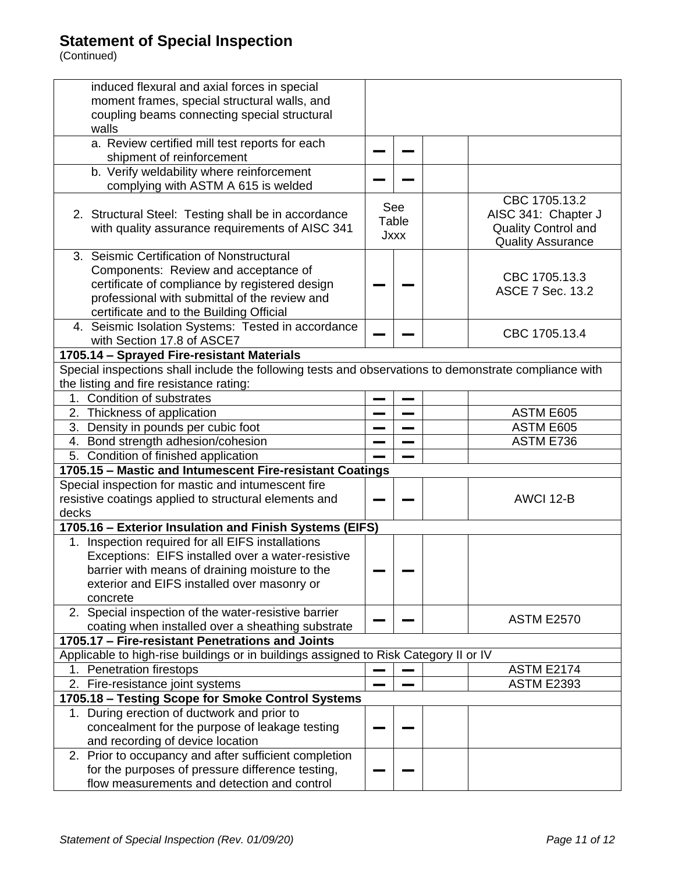| induced flexural and axial forces in special                                                          |             |  |                            |
|-------------------------------------------------------------------------------------------------------|-------------|--|----------------------------|
| moment frames, special structural walls, and                                                          |             |  |                            |
| coupling beams connecting special structural                                                          |             |  |                            |
| walls                                                                                                 |             |  |                            |
| a. Review certified mill test reports for each                                                        |             |  |                            |
| shipment of reinforcement                                                                             |             |  |                            |
| b. Verify weldability where reinforcement<br>complying with ASTM A 615 is welded                      |             |  |                            |
|                                                                                                       | See         |  | CBC 1705.13.2              |
| 2. Structural Steel: Testing shall be in accordance                                                   | Table       |  | AISC 341: Chapter J        |
| with quality assurance requirements of AISC 341                                                       | <b>Jxxx</b> |  | <b>Quality Control and</b> |
|                                                                                                       |             |  | <b>Quality Assurance</b>   |
| 3. Seismic Certification of Nonstructural                                                             |             |  |                            |
| Components: Review and acceptance of                                                                  |             |  | CBC 1705.13.3              |
| certificate of compliance by registered design                                                        |             |  | <b>ASCE 7 Sec. 13.2</b>    |
| professional with submittal of the review and                                                         |             |  |                            |
| certificate and to the Building Official                                                              |             |  |                            |
| 4. Seismic Isolation Systems: Tested in accordance                                                    |             |  | CBC 1705.13.4              |
| with Section 17.8 of ASCE7                                                                            |             |  |                            |
| 1705.14 - Sprayed Fire-resistant Materials                                                            |             |  |                            |
| Special inspections shall include the following tests and observations to demonstrate compliance with |             |  |                            |
| the listing and fire resistance rating:                                                               |             |  |                            |
| 1. Condition of substrates                                                                            |             |  |                            |
| 2. Thickness of application                                                                           |             |  | ASTM E605                  |
| 3. Density in pounds per cubic foot                                                                   |             |  | ASTM E605                  |
| 4. Bond strength adhesion/cohesion                                                                    |             |  | ASTM E736                  |
| 5. Condition of finished application                                                                  |             |  |                            |
| 1705.15 - Mastic and Intumescent Fire-resistant Coatings                                              |             |  |                            |
| Special inspection for mastic and intumescent fire                                                    |             |  |                            |
| resistive coatings applied to structural elements and                                                 |             |  | AWCI 12-B                  |
| decks                                                                                                 |             |  |                            |
| 1705.16 - Exterior Insulation and Finish Systems (EIFS)                                               |             |  |                            |
| 1. Inspection required for all EIFS installations                                                     |             |  |                            |
| Exceptions: EIFS installed over a water-resistive                                                     |             |  |                            |
| barrier with means of draining moisture to the                                                        |             |  |                            |
| exterior and EIFS installed over masonry or                                                           |             |  |                            |
| concrete<br>2. Special inspection of the water-resistive barrier                                      |             |  |                            |
|                                                                                                       |             |  | <b>ASTM E2570</b>          |
| coating when installed over a sheathing substrate<br>1705.17 - Fire-resistant Penetrations and Joints |             |  |                            |
| Applicable to high-rise buildings or in buildings assigned to Risk Category II or IV                  |             |  |                            |
| 1. Penetration firestops                                                                              |             |  | <b>ASTM E2174</b>          |
| 2. Fire-resistance joint systems                                                                      |             |  | <b>ASTM E2393</b>          |
| 1705.18 - Testing Scope for Smoke Control Systems                                                     |             |  |                            |
| 1. During erection of ductwork and prior to                                                           |             |  |                            |
| concealment for the purpose of leakage testing                                                        |             |  |                            |
| and recording of device location                                                                      |             |  |                            |
| 2. Prior to occupancy and after sufficient completion                                                 |             |  |                            |
| for the purposes of pressure difference testing,                                                      |             |  |                            |
| flow measurements and detection and control                                                           |             |  |                            |